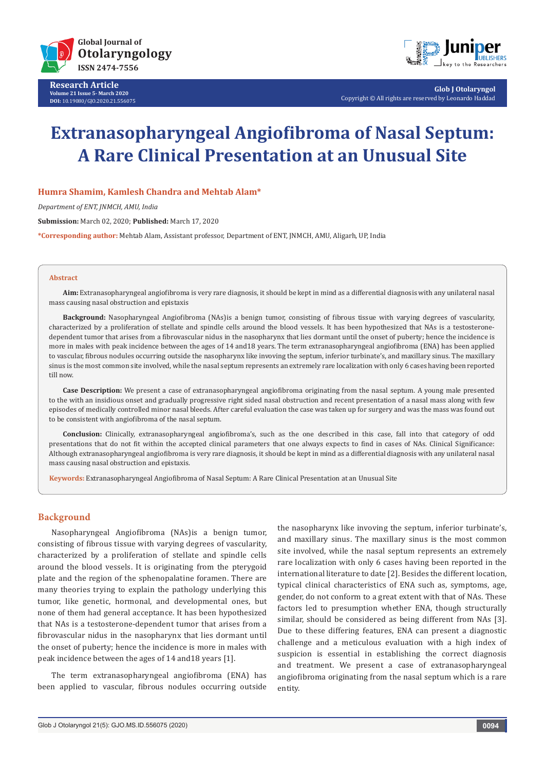

**Research Article Volume 21 Issue 5- March 2020 DOI:** [10.19080/GJO.2020.21.556075](http://dx.doi.org/10.19080/GJO.2020.21.556075)



**Glob J Otolaryngol** Copyright © All rights are reserved by Leonardo Haddad

# **Extranasopharyngeal Angiofibroma of Nasal Septum: A Rare Clinical Presentation at an Unusual Site**

## **Humra Shamim, Kamlesh Chandra and Mehtab Alam\***

*Department of ENT, JNMCH, AMU, India*

**Submission:** March 02, 2020; **Published:** March 17, 2020

**\*Corresponding author:** Mehtab Alam, Assistant professor, Department of ENT, JNMCH, AMU, Aligarh, UP, India

#### **Abstract**

**Aim:** Extranasopharyngeal angiofibroma is very rare diagnosis, it should be kept in mind as a differential diagnosis with any unilateral nasal mass causing nasal obstruction and epistaxis

**Background:** Nasopharyngeal Angiofibroma (NAs)is a benign tumor, consisting of fibrous tissue with varying degrees of vascularity, characterized by a proliferation of stellate and spindle cells around the blood vessels. It has been hypothesized that NAs is a testosteronedependent tumor that arises from a fibrovascular nidus in the nasopharynx that lies dormant until the onset of puberty; hence the incidence is more in males with peak incidence between the ages of 14 and18 years. The term extranasopharyngeal angiofibroma (ENA) has been applied to vascular, fibrous nodules occurring outside the nasopharynx like invoving the septum, inferior turbinate's, and maxillary sinus. The maxillary sinus is the most common site involved, while the nasal septum represents an extremely rare localization with only 6 cases having been reported till now.

**Case Description:** We present a case of extranasopharyngeal angiofibroma originating from the nasal septum. A young male presented to the with an insidious onset and gradually progressive right sided nasal obstruction and recent presentation of a nasal mass along with few episodes of medically controlled minor nasal bleeds. After careful evaluation the case was taken up for surgery and was the mass was found out to be consistent with angiofibroma of the nasal septum.

**Conclusion:** Clinically, extranasopharyngeal angiofibroma's, such as the one described in this case, fall into that category of odd presentations that do not fit within the accepted clinical parameters that one always expects to find in cases of NAs. Clinical Significance: Although extranasopharyngeal angiofibroma is very rare diagnosis, it should be kept in mind as a differential diagnosis with any unilateral nasal mass causing nasal obstruction and epistaxis.

**Keywords:** Extranasopharyngeal Angiofibroma of Nasal Septum: A Rare Clinical Presentation at an Unusual Site

# **Background**

Nasopharyngeal Angiofibroma (NAs)is a benign tumor, consisting of fibrous tissue with varying degrees of vascularity, characterized by a proliferation of stellate and spindle cells around the blood vessels. It is originating from the pterygoid plate and the region of the sphenopalatine foramen. There are many theories trying to explain the pathology underlying this tumor, like genetic, hormonal, and developmental ones, but none of them had general acceptance. It has been hypothesized that NAs is a testosterone-dependent tumor that arises from a fibrovascular nidus in the nasopharynx that lies dormant until the onset of puberty; hence the incidence is more in males with peak incidence between the ages of 14 and18 years [1].

The term extranasopharyngeal angiofibroma (ENA) has been applied to vascular, fibrous nodules occurring outside the nasopharynx like invoving the septum, inferior turbinate's, and maxillary sinus. The maxillary sinus is the most common site involved, while the nasal septum represents an extremely rare localization with only 6 cases having been reported in the international literature to date [2]. Besides the different location, typical clinical characteristics of ENA such as, symptoms, age, gender, do not conform to a great extent with that of NAs. These factors led to presumption whether ENA, though structurally similar, should be considered as being different from NAs [3]. Due to these differing features, ENA can present a diagnostic challenge and a meticulous evaluation with a high index of suspicion is essential in establishing the correct diagnosis and treatment. We present a case of extranasopharyngeal angiofibroma originating from the nasal septum which is a rare entity.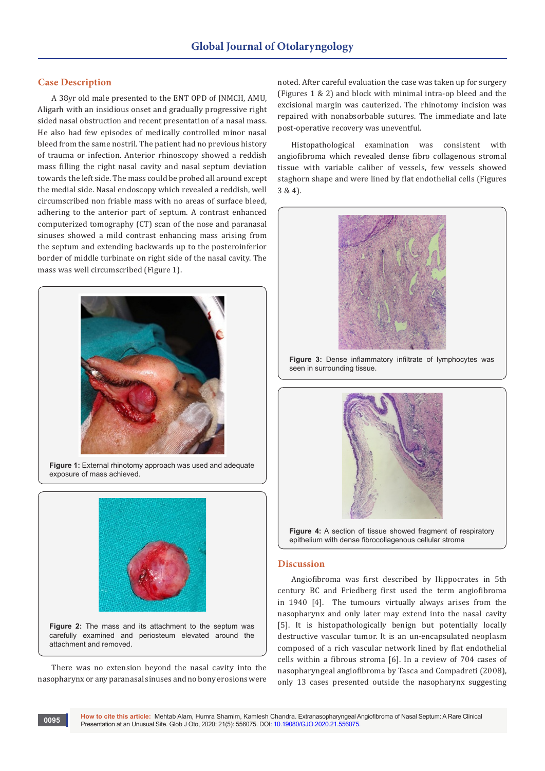# **Case Description**

A 38yr old male presented to the ENT OPD of JNMCH, AMU, Aligarh with an insidious onset and gradually progressive right sided nasal obstruction and recent presentation of a nasal mass. He also had few episodes of medically controlled minor nasal bleed from the same nostril. The patient had no previous history of trauma or infection. Anterior rhinoscopy showed a reddish mass filling the right nasal cavity and nasal septum deviation towards the left side. The mass could be probed all around except the medial side. Nasal endoscopy which revealed a reddish, well circumscribed non friable mass with no areas of surface bleed, adhering to the anterior part of septum. A contrast enhanced computerized tomography (CT) scan of the nose and paranasal sinuses showed a mild contrast enhancing mass arising from the septum and extending backwards up to the posteroinferior border of middle turbinate on right side of the nasal cavity. The mass was well circumscribed (Figure 1).



**Figure 1:** External rhinotomy approach was used and adequate exposure of mass achieved.



carefully examined and periosteum elevated around the attachment and removed.

There was no extension beyond the nasal cavity into the nasopharynx or any paranasal sinuses and no bony erosions were

**0095**

noted. After careful evaluation the case was taken up for surgery (Figures 1 & 2) and block with minimal intra-op bleed and the excisional margin was cauterized. The rhinotomy incision was repaired with nonabsorbable sutures. The immediate and late post-operative recovery was uneventful.

Histopathological examination was consistent with angiofibroma which revealed dense fibro collagenous stromal tissue with variable caliber of vessels, few vessels showed staghorn shape and were lined by flat endothelial cells (Figures 3 & 4).



**Figure 3:** Dense inflammatory infiltrate of lymphocytes was seen in surrounding tissue.



**Figure 4:** A section of tissue showed fragment of respiratory epithelium with dense fibrocollagenous cellular stroma

# **Discussion**

Angiofibroma was first described by Hippocrates in 5th century BC and Friedberg first used the term angiofibroma in 1940 [4]. The tumours virtually always arises from the nasopharynx and only later may extend into the nasal cavity [5]. It is histopathologically benign but potentially locally destructive vascular tumor. It is an un-encapsulated neoplasm composed of a rich vascular network lined by flat endothelial cells within a fibrous stroma [6]. In a review of 704 cases of nasopharyngeal angiofibroma by Tasca and Compadreti (2008), only 13 cases presented outside the nasopharynx suggesting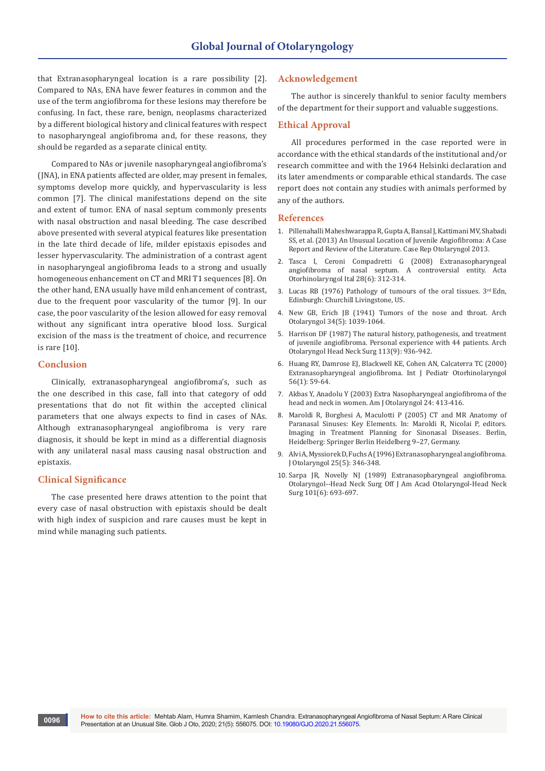that Extranasopharyngeal location is a rare possibility [2]. Compared to NAs, ENA have fewer features in common and the use of the term angiofibroma for these lesions may therefore be confusing. In fact, these rare, benign, neoplasms characterized by a different biological history and clinical features with respect to nasopharyngeal angiofibroma and, for these reasons, they should be regarded as a separate clinical entity.

Compared to NAs or juvenile nasopharyngeal angiofibroma's (JNA), in ENA patients affected are older, may present in females, symptoms develop more quickly, and hypervascularity is less common [7]. The clinical manifestations depend on the site and extent of tumor. ENA of nasal septum commonly presents with nasal obstruction and nasal bleeding. The case described above presented with several atypical features like presentation in the late third decade of life, milder epistaxis episodes and lesser hypervascularity. The administration of a contrast agent in nasopharyngeal angiofibroma leads to a strong and usually homogeneous enhancement on CT and MRI T1 sequences [8]. On the other hand, ENA usually have mild enhancement of contrast, due to the frequent poor vascularity of the tumor [9]. In our case, the poor vascularity of the lesion allowed for easy removal without any significant intra operative blood loss. Surgical excision of the mass is the treatment of choice, and recurrence is rare [10].

# **Conclusion**

Clinically, extranasopharyngeal angiofibroma's, such as the one described in this case, fall into that category of odd presentations that do not fit within the accepted clinical parameters that one always expects to find in cases of NAs. Although extranasopharyngeal angiofibroma is very rare diagnosis, it should be kept in mind as a differential diagnosis with any unilateral nasal mass causing nasal obstruction and epistaxis.

## **Clinical Significance**

The case presented here draws attention to the point that every case of nasal obstruction with epistaxis should be dealt with high index of suspicion and rare causes must be kept in mind while managing such patients.

### **Acknowledgement**

The author is sincerely thankful to senior faculty members of the department for their support and valuable suggestions.

# **Ethical Approval**

All procedures performed in the case reported were in accordance with the ethical standards of the institutional and/or research committee and with the 1964 Helsinki declaration and its later amendments or comparable ethical standards. The case report does not contain any studies with animals performed by any of the authors.

#### **References**

- 1. [Pillenahalli Maheshwarappa R, Gupta A, Bansal J, Kattimani MV, Shabadi](https://www.hindawi.com/journals/criot/2013/175326/)  [SS, et al. \(2013\) An Unusual Location of Juvenile Angiofibroma: A Case](https://www.hindawi.com/journals/criot/2013/175326/)  [Report and Review of the Literature. Case Rep Otolaryngol 2013.](https://www.hindawi.com/journals/criot/2013/175326/)
- 2. [Tasca I, Ceroni Compadretti G \(2008\) Extranasopharyngeal](https://www.ncbi.nlm.nih.gov/pmc/articles/PMC2689538/)  [angiofibroma of nasal septum. A controversial entity. Acta](https://www.ncbi.nlm.nih.gov/pmc/articles/PMC2689538/)  [Otorhinolaryngol Ital 28\(6\): 312-314.](https://www.ncbi.nlm.nih.gov/pmc/articles/PMC2689538/)
- 3. Lucas RB (1976) Pathology of tumours of the oral tissues. 3rd Edn, Edinburgh: Churchill Livingstone, US.
- 4. [New GB, Erich JB \(1941\) Tumors of the nose and throat. Arch](https://jamanetwork.com/journals/jamaotolaryngology/article-abstract/569080)  [Otolaryngol 34\(5\): 1039-1064.](https://jamanetwork.com/journals/jamaotolaryngology/article-abstract/569080)
- 5. [Harrison DF \(1987\) The natural history, pathogenesis, and treatment](https://www.ncbi.nlm.nih.gov/pubmed/3038146)  [of juvenile angiofibroma. Personal experience with 44 patients. Arch](https://www.ncbi.nlm.nih.gov/pubmed/3038146)  [Otolaryngol Head Neck Surg 113\(9\): 936-942.](https://www.ncbi.nlm.nih.gov/pubmed/3038146)
- 6. [Huang RY, Damrose EJ, Blackwell KE, Cohen AN, Calcaterra TC \(2000\)](https://www.ncbi.nlm.nih.gov/pubmed/11074117)  [Extranasopharyngeal angiofibroma. Int J Pediatr Otorhinolaryngol](https://www.ncbi.nlm.nih.gov/pubmed/11074117)  [56\(1\): 59-64.](https://www.ncbi.nlm.nih.gov/pubmed/11074117)
- 7. [Akbas Y, Anadolu Y \(2003\) Extra Nasopharyngeal angiofibroma of the](https://www.ncbi.nlm.nih.gov/pubmed/14608576)  [head and neck in women. Am J Otolaryngol 24: 413-416.](https://www.ncbi.nlm.nih.gov/pubmed/14608576)
- 8. Maroldi R, Borghesi A, Maculotti P (2005) CT and MR Anatomy of Paranasal Sinuses: Key Elements. In: Maroldi R, Nicolai P, editors. Imaging in Treatment Planning for Sinonasal Diseases. Berlin, Heidelberg: Springer Berlin Heidelberg 9–27, Germany.
- 9. [Alvi A, Myssiorek D, Fuchs A \(1996\) Extranasopharyngeal angiofibroma.](http://www.scielo.br/scielo.php?script=sci_arttext&pid=S1809-48642014000400403)  [J Otolaryngol 25\(5\): 346-348.](http://www.scielo.br/scielo.php?script=sci_arttext&pid=S1809-48642014000400403)
- 10. Sarpa JR, Novelly NJ (1989) Extranasopharyngeal angiofibroma. Otolaryngol--Head Neck Surg Off J Am Acad Otolaryngol-Head Neck Surg 101(6): 693-697.